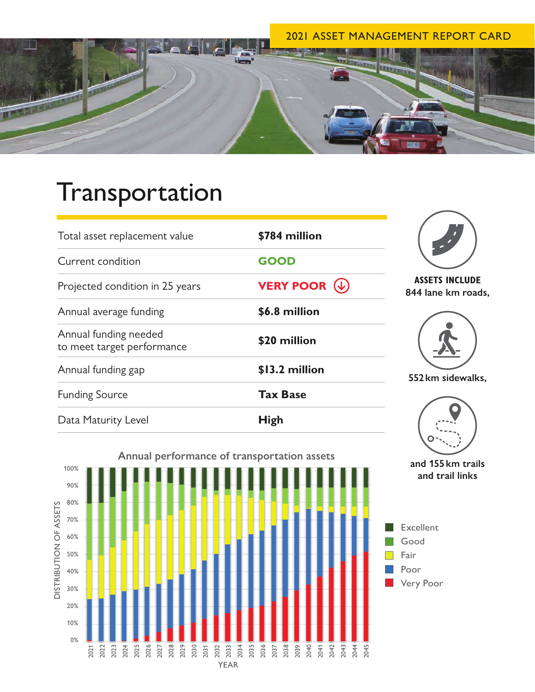### 2021 ASSET MANAGEMENT REPORT CARD

**and trail links** 



# Transportation

| Total asset replacement value                       | \$784 million                              |                                             |
|-----------------------------------------------------|--------------------------------------------|---------------------------------------------|
| Current condition                                   | <b>GOOD</b>                                |                                             |
| Projected condition in 25 years                     | <b>VERY POOR <math>(\downarrow)</math></b> | <b>ASSETS INCLUDE</b><br>844 lane km roads, |
| Annual average funding                              | \$6.8 million                              |                                             |
| Annual funding needed<br>to meet target performance | \$20 million                               |                                             |
| Annual funding gap                                  | \$13.2 million                             | 552 km sidewalks,                           |
| <b>Funding Source</b>                               | <b>Tax Base</b>                            |                                             |
| Data Maturity Level                                 | <b>High</b>                                |                                             |